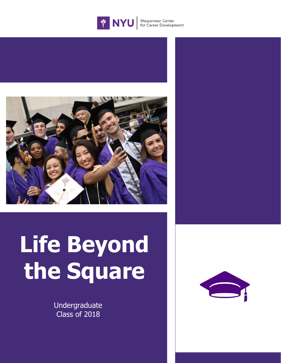



# **Life Beyond the Square**

Undergraduate Class of 2018

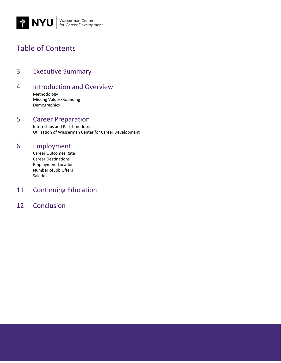

# Table of Contents

- 3 Executive Summary
- 4 Introduction and Overview

Methodology Missing Values/Rounding Demographics

### 5 Career Preparation

Internships and Part-time Jobs Utilization of Wasserman Center for Career Development

## 6 Employment

Career Outcomes Rate Career Destinations Employment Locations Number of Job Offers Salaries

## 11 Continuing Education

## 12 Conclusion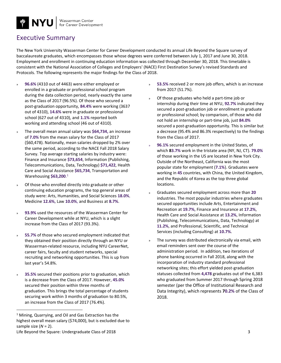

## Executive Summary

The New York University Wasserman Center for Career Development conducted its annual Life Beyond the Square survey of baccalaureate graduates, which encompasses those whose degrees were conferred between July 1, 2017 and June 30, 2018. Employment and enrollment in continuing education information was collected through December 30, 2018. This timetable is consistent with the National Association of Colleges and Employers' (NACE) First Destination Survey's revised Standards and Protocols. The following represents the major findings for the Class of 2018.

- » **96.6%** (4310 out of 4463) were either employed or enrolled in a graduate or professional school program during the data collection period, nearly exactly the same as the Class of 2017 (96.5%). Of those who secured a post-graduation opportunity, **84.4%** were working (3637 out of 4310), **14.6%** were in graduate or professional school (627 out of 4310), and **1.1%** reported both working and attending school (46 out of 4310).
- » The overall mean annual salary was **\$64,734,** an increase of **7.0%** from the mean salary for the Class of 2017 (\$60,478). Nationally, mean salaries dropped by 2% over the same period, according to the NACE Fall 2018 Salary Survey. Top average starting salaries by industry were: Finance and Insurance **\$73,654**, Information (Publishing, Telecommunications, Data, Technology) **\$71,422**, Health Care and Social Assistance **\$65,734**, Transportation and Warehousing **\$63,200**. 1
- » Of those who enrolled directly into graduate or other continuing education programs, the top general areas of study were: Arts, Humanities, and Social Sciences **18.0%**, Medicine **12.6%,** Law **10.0%,** and Business at **8.7%**.
- » **93.9%** used the resources of the Wasserman Center for Career Development while at NYU, which is a slight increase from the Class of 2017 (93.3%).
- » **55.7%** of those who secured employment indicated that they obtained their position directly through an NYU or Wasserman-related resource, including NYU CareerNet, career fairs, faculty and student networks, special recruiting and networking opportunities. This is up from last year's 54.8%.
- » **35.5%** secured their positions prior to graduation, which is a decrease from the Class of 2017. However, **45.0%** secured their position within three months of graduation. This brings the total percentage of students securing work within 3 months of graduation to 80.5%, an increase from the Class of 2017 (76.4%).

 $\overline{a}$ 

- 53.5% received 2 or more job offers, which is an increase from 2017 (51.7%).
- » Of those graduates who held a part-time job or internship during their time at NYU, **92.7%** indicated they secured a post-graduation job or enrollment in graduate or professional school; by comparison, of those who did not hold an internship or part-time job, just **84.0%** secured a post-graduation opportunity. This is similar but a decrease (95.4% and 86.3% respectively) to the findings from the Class of 2017.
- » **96.1%** secured employment in the United States, of which **83.7%** work in the tristate area (NY, NJ, CT). **79.0%** of those working in the US are located in New York City. Outside of the Northeast, California was the most popular state for employment (**7.1%**). Graduates were working in **45** countries, with China, the United Kingdom, and the Republic of Korea as the top three global locations.
- » Graduates secured employment across more than **20** industries. The most popular industries where graduates secured opportunities include Arts, Entertainment and Recreation at **19.7%**, Finance and Insurance at **17.2%**, Health Care and Social Assistance at **13.2%**, Information (Publishing, Telecommunications, Data, Technology) at **11.2%**, and Professional, Scientific, and Technical Services (including Consulting) at **10.7%**.
- » The survey was distributed electronically via email, with email reminders sent over the course of the administration period. In addition, two iterations of phone banking occurred in Fall 2018, along with the incorporation of industry standard professional networking sites; this effort yielded post-graduation statuses collected from **4,478** graduates out of the 6,383 who graduated from Summer 2017 through Spring 2018 semester (per the Office of Institutional Research and Data Integrity), which represents **70.2%** of the Class of 2018.

<sup>1</sup> Mining, Quarrying, and Oil and Gas Extraction has the highest overall mean salary (\$74,000), but is excluded due to sample size (*N* = 2).

Life Beyond the Square: Undergraduate Class of 2018 3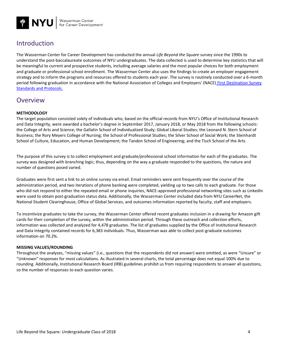

## Introduction

The Wasserman Center for Career Development has conducted the annual *Life Beyond the Square* survey since the 1990s to understand the post-baccalaureate outcomes of NYU undergraduates. The data collected is used to determine key statistics that will be meaningful to current and prospective students, including average salaries and the most popular choices for both employment and graduate or professional school enrollment. The Wasserman Center also uses the findings to create an employer engagement strategy and to inform the programs and resources offered to students each year. The survey is routinely conducted over a 6-month period following graduation in accordance with the National Association of Colleges and Employers' (NACE) First Destination Survey [Standards and Protocols.](https://www.naceweb.org/uploadedFiles/Pages/advocacy/first-destination-survey-standards-and-protocols.pdf)

## Overview

#### **METHODOLOGY**

The target population consisted solely of individuals who, based on the official records from NYU's Office of Institutional Research and Data Integrity, were awarded a bachelor's degree in September 2017, January 2018, or May 2018 from the following schools: the College of Arts and Science; the Gallatin School of Individualized Study; Global Liberal Studies; the Leonard N. Stern School of Business; the Rory Meyers College of Nursing; the School of Professional Studies; the Silver School of Social Work; the Steinhardt School of Culture, Education, and Human Development; the Tandon School of Engineering; and the Tisch School of the Arts.

The purpose of this survey is to collect employment and graduate/professional school information for each of the graduates. The survey was designed with branching logic; thus, depending on the way a graduate responded to the questions, the nature and number of questions posed varied.

Graduates were first sent a link to an online survey via email. Email reminders were sent frequently over the course of the administration period, and two iterations of phone banking were completed, yielding up to two calls to each graduate. For those who did not respond to either the repeated email or phone inquiries, NACE-approved professional networking sites such as LinkedIn were used to obtain post-graduation status data. Additionally, the Wasserman Center included data from NYU CareerNet, the National Student Clearinghouse, Office of Global Services, and outcomes information reported by faculty, staff and employers.

To incentivize graduates to take the survey, the Wasserman Center offered recent graduates inclusion in a drawing for Amazon gift cards for their completion of the survey, within the administration period. Through these outreach and collection efforts, information was collected and analyzed for 4,478 graduates. The list of graduates supplied by the Office of Institutional Research and Data Integrity contained records for 6,383 individuals. Thus, Wasserman was able to collect post-graduate outcomes information on 70.2%.

#### **MISSING VALUES/ROUNDING**

Throughout the analyses, "missing values" (i.e., questions that the respondents did not answer) were omitted, as were "Unsure" or "Unknown" responses for most calculations. As illustrated in several charts, the total percentage does not equal 100% due to rounding. Additionally, Institutional Research Board (IRB) guidelines prohibit us from requiring respondents to answer all questions, so the number of responses to each question varies.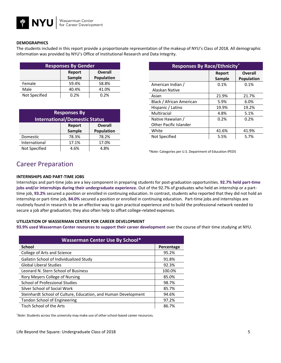#### **DEMOGRAPHICS**

The students included in this report provide a proportionate representation of the makeup of NYU's Class of 2018. All demographic information was provided by NYU's Office of Institutional Research and Data Integrity.

| <b>Responses By Gender</b> |                          |            |
|----------------------------|--------------------------|------------|
|                            | <b>Overall</b><br>Report |            |
|                            | Sample                   | Population |
| Female                     | 59.4%                    | 58.8%      |
| Male                       | 40.4%                    | 41.0%      |
| Not Specified              | 0.2%                     | 0.2%       |

| <b>Responses By</b><br><b>International/Domestic Status</b> |                  |                                     |
|-------------------------------------------------------------|------------------|-------------------------------------|
|                                                             | Report<br>Sample | <b>Overall</b><br><b>Population</b> |
| Domestic                                                    | 78.3%            | 78.2%                               |
| International                                               | 17.1%            | 17.0%                               |
| Not Specified                                               | 4.6%             | 4.8%                                |

| <b>Responses By Race/Ethnicity*</b> |        |                   |
|-------------------------------------|--------|-------------------|
|                                     | Report | <b>Overall</b>    |
|                                     | Sample | <b>Population</b> |
| American Indian /                   | 0.1%   | 0.1%              |
| Alaskan Native                      |        |                   |
| Asian                               | 21.9%  | 21.7%             |
| Black / African American            | 5.9%   | $6.0\%$           |
| Hispanic / Latino                   | 19.9%  | 19.2%             |
| Multiracial                         | 4.8%   | 5.1%              |
| Native Hawaiian /                   | 0.2%   | 0.2%              |
| Other Pacific Islander              |        |                   |
| White                               | 41.6%  | 41.9%             |
| Not Specified                       | 5.5%   | 5.7%              |

*\*Note:* Categories per U.S. Department of Education IPEDS

## Career Preparation

#### **INTERNSHIPS AND PART-TIME JOBS**

Internships and part-time jobs are a key component in preparing students for post-graduation opportunities. **92.7% held part-time jobs and/or internships during their undergraduate experience.** Out of the 92.7% of graduates who held an internship or a parttime job, **93.2%** secured a position or enrolled in continuing education. In contrast, students who reported that they did not hold an internship or part-time job, **84.0%** secured a position or enrolled in continuing education. Part-time jobs and internships are routinely found in research to be an effective way to gain practical experience and to build the professional network needed to secure a job after graduation; they also often help to offset college-related expenses.

#### **UTILIZATION OF WASSERMAN CENTER FOR CAREER DEVELOPMENT**

**93.9% used Wasserman Center resources to support their career development** over the course of their time studying at NYU.

| <b>Wasserman Center Use By School*</b>                         |            |  |
|----------------------------------------------------------------|------------|--|
| <b>School</b>                                                  | Percentage |  |
| College of Arts and Science                                    | 95.2%      |  |
| Gallatin School of Individualized Study                        | 91.8%      |  |
| <b>Global Liberal Studies</b>                                  | 92.3%      |  |
| Leonard N. Stern School of Business                            | 100.0%     |  |
| Rory Meyers College of Nursing                                 | 85.0%      |  |
| <b>School of Professional Studies</b>                          | 98.7%      |  |
| Silver School of Social Work                                   | 85.7%      |  |
| Steinhardt School of Culture, Education, and Human Development | 94.6%      |  |
| Tandon School of Engineering                                   | 97.2%      |  |
| Tisch School of the Arts                                       | 86.7%      |  |

\**Note*: Students across the university may make use of other school-based career resources.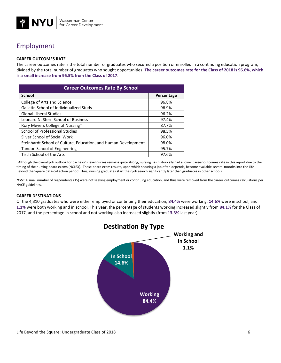

## Employment

#### **CAREER OUTCOMES RATE**

The career outcomes rate is the total number of graduates who secured a position or enrolled in a continuing education program, divided by the total number of graduates who sought opportunities. **The career outcomes rate for the Class of 2018 is 96.6%, which is a small increase from 96.5% from the Class of 2017**.

| <b>Career Outcomes Rate By School</b>                          |            |  |
|----------------------------------------------------------------|------------|--|
| <b>School</b>                                                  | Percentage |  |
| College of Arts and Science                                    | 96.8%      |  |
| Gallatin School of Individualized Study                        | 96.9%      |  |
| <b>Global Liberal Studies</b>                                  | 96.2%      |  |
| Leonard N. Stern School of Business                            | 97.4%      |  |
| Rory Meyers College of Nursing*                                | 87.7%      |  |
| School of Professional Studies                                 | 98.5%      |  |
| Silver School of Social Work                                   | 96.0%      |  |
| Steinhardt School of Culture, Education, and Human Development | 98.0%      |  |
| Tandon School of Engineering                                   | 95.7%      |  |
| Tisch School of the Arts                                       | 97.6%      |  |

\* Although the overall job outlook for bachelor's level nurses remains quite strong, nursing has historically had a lower career outcomes rate in this report due to the timing of the nursing board exams (NCLEX). These board exam results, upon which securing a job often depends, become available several months into the Life Beyond the Square data-collection period. Thus, nursing graduates start their job search significantly later than graduates in other schools.

*Note*: A small number of respondents (15) were not seeking employment or continuing education, and thus were removed from the career outcomes calculations per NACE guidelines.

#### **CAREER DESTINATIONS**

Of the 4,310 graduates who were either employed or continuing their education, **84.4%** were working, **14.6%** were in school, and **1.1%** were both working and in school. This year, the percentage of students working increased slightly from **84.1%** for the Class of 2017, and the percentage in school and not working also increased slightly (from **13.3%** last year).

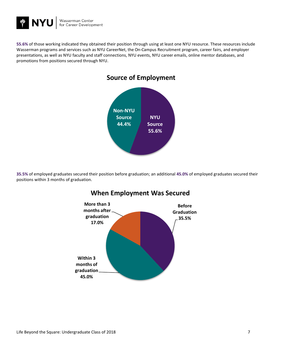

**55.6%** of those working indicated they obtained their position through using at least one NYU resource. These resources include Wasserman programs and services such as NYU CareerNet, the On-Campus Recruitment program, career fairs, and employer presentations, as well as NYU faculty and staff connections, NYU events, NYU career emails, online mentor databases, and promotions from positions secured through NYU.



**35.5%** of employed graduates secured their position before graduation; an additional **45.0%** of employed graduates secured their positions within 3 months of graduation.



## **When Employment Was Secured**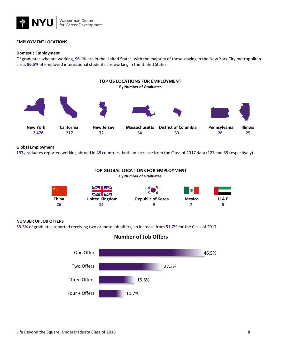

#### **EMPLOYMENT LOCATIONS**

#### **Domestic Employment**

Of graduates who are working, **96.1%** are in the United States, with the majority of those staying in the New York City metropolitan area. **86.5%** of employed international students are working in the United States.



#### **Global Employment**

**137** graduates reported working abroad in **45** countries, both an increase from the Class of 2017 data (127 and 39 respectively).



#### **NUMBER OF JOB OFFERS**

**53.5%** of graduates reported receiving two or more job offers, an increase from **51.7%** for the Class of 2017.



**Number of Job Offers**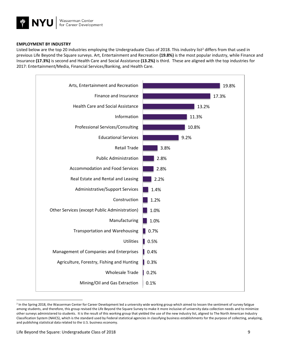

#### **EMPLOYMENT BY INDUSTRY**

Listed below are the top 20 industries employing the Undergraduate Class of 2018. This industry list<sup>2</sup> differs from that used in previous Life Beyond the Square surveys. Art, Entertainment and Recreation **(19.8%)** is the most popular industry, while Finance and Insurance **(17.3%)** is second and Health Care and Social Assistance **(13.2%)** is third. These are aligned with the top industries for 2017: Entertainment/Media, Financial Services/Banking, and Health Care.



<sup>&</sup>lt;sup>2</sup> In the Spring 2018, the Wasserman Center for Career Development led a university wide working group which aimed to lessen the sentiment of survey fatigue among students, and therefore, this group revised the Life Beyond the Square Survey to make it more inclusive of university data collection needs and to minimize other surveys administered to students. It is the result of this working group that yielded the use of the new industry list, aligned to The North American Industry Classification System (NAICS), which is the standard used by Federal statistical agencies in classifying business establishments for the purpose of collecting, analyzing, and publishing statistical data related to the U.S. business economy.

 $\overline{a}$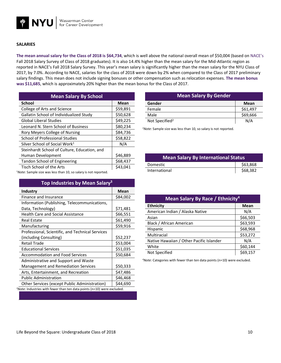

#### **SALARIES**

**The mean annual salary for the Class of 2018 is \$64,734**, which is well above the national overall mean of \$50,004 (based on NACE's Fall 2018 Salary Survey of Class of 2018 graduates). It is also 14.4% higher than the mean salary for the Mid-Atlantic region as reported in NACE's Fall 2018 Salary Survey. This year's mean salary is significantly higher than the mean salary for the NYU Class of 2017, by 7.0%. According to NACE, salaries for the class of 2018 were down by 2% when compared to the Class of 2017 preliminary salary findings. This mean does not include signing bonuses or other compensation such as relocation expenses. **The mean bonus was \$11,685**, which is approximately 20% higher than the mean bonus for the Class of 2017.

| <b>Mean Salary By School</b>                 |          |  |
|----------------------------------------------|----------|--|
| <b>School</b>                                | Mean     |  |
| College of Arts and Science                  | \$59,891 |  |
| Gallatin School of Individualized Study      | \$50,628 |  |
| <b>Global Liberal Studies</b>                | \$49,225 |  |
| Leonard N. Stern School of Business          | \$80,234 |  |
| Rory Meyers College of Nursing               | \$84,736 |  |
| <b>School of Professional Studies</b>        | \$58,822 |  |
| Silver School of Social Work <sup>1</sup>    | N/A      |  |
| Steinhardt School of Culture, Education, and |          |  |
| Human Development                            | \$46,889 |  |
| <b>Tandon School of Engineering</b>          | \$68,437 |  |
| Tisch School of the Arts                     | \$43.041 |  |

<sup>1</sup>*Note*: Sample size was less than 10, so salary is not reported.

| Top Industries by Mean Salary <sup>3</sup>                                 |          |
|----------------------------------------------------------------------------|----------|
| Industry                                                                   | Mean     |
| Finance and Insurance                                                      | \$84,002 |
| Information (Publishing, Telecommunications,                               |          |
| Data, Technology)                                                          | \$71,481 |
| <b>Health Care and Social Assistance</b>                                   | \$66,551 |
| <b>Real Estate</b>                                                         | \$61,490 |
| Manufacturing                                                              | \$59,916 |
| Professional, Scientific, and Technical Services                           |          |
| (including Consulting)                                                     | \$52,237 |
| <b>Retail Trade</b>                                                        | \$53,004 |
| <b>Educational Services</b>                                                | \$51,035 |
| <b>Accommodation and Food Services</b>                                     | \$50,684 |
| Administrative and Support and Waste                                       |          |
| <b>Management and Remediation Services</b>                                 | \$50,333 |
| Arts, Entertainment, and Recreation                                        | \$47,486 |
| <b>Public Administration</b>                                               | \$46,468 |
| Other Services (except Public Administration)                              | \$44,690 |
| $3$ Note: Industries with fewer than ten data points (n=10) were excluded. |          |

| <b>Mean Salary By Gender</b> |          |
|------------------------------|----------|
| Gender                       | Mean     |
| Female                       | \$61,497 |
| Male                         | \$69,666 |
| Not Specified <sup>2</sup>   | N/A      |

<sup>2</sup>*Note*: Sample size was less than 10, so salary is not reported.

| <b>Mean Salary By International Status</b> |          |  |
|--------------------------------------------|----------|--|
| Domestic                                   | \$63,868 |  |
| International                              | \$68,382 |  |

| Mean Salary By Race / Ethnicity <sup>4</sup> |             |  |
|----------------------------------------------|-------------|--|
| <b>Ethnicity</b>                             | <b>Mean</b> |  |
| American Indian / Alaska Native              | N/A         |  |
| Asian                                        | \$66,503    |  |
| Black / African American                     | \$63,593    |  |
| Hispanic                                     | \$68,968    |  |
| Multiracial                                  | \$53,272    |  |
| Native Hawaiian / Other Pacific Islander     | N/A         |  |
| White                                        | \$60,144    |  |
| Not Specified                                | \$69,157    |  |

*<sup>4</sup>Note*: Categories with fewer than ten data points (n=10) were excluded.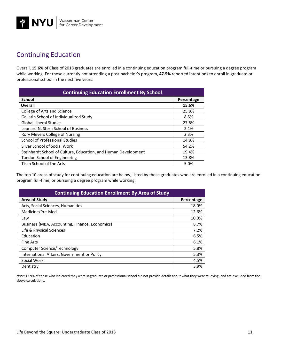## Continuing Education

Overall, **15.6%** of Class of 2018 graduates are enrolled in a continuing education program full-time or pursuing a degree program while working. For those currently not attending a post-bachelor's program, 47.5% reported intentions to enroll in graduate or professional school in the next five years.

| <b>Continuing Education Enrollment By School</b>               |            |  |
|----------------------------------------------------------------|------------|--|
| <b>School</b>                                                  | Percentage |  |
| Overall                                                        | 15.6%      |  |
| College of Arts and Science                                    | 25.8%      |  |
| Gallatin School of Individualized Study                        | 8.5%       |  |
| <b>Global Liberal Studies</b>                                  | 27.6%      |  |
| Leonard N. Stern School of Business                            | 2.1%       |  |
| Rory Meyers College of Nursing                                 | 2.3%       |  |
| School of Professional Studies                                 | 14.8%      |  |
| Silver School of Social Work                                   | 54.2%      |  |
| Steinhardt School of Culture, Education, and Human Development | 19.4%      |  |
| Tandon School of Engineering                                   | 13.8%      |  |
| Tisch School of the Arts                                       | 5.0%       |  |

The top 10 areas of study for continuing education are below, listed by those graduates who are enrolled in a continuing education program full-time, or pursuing a degree program while working.

| <b>Continuing Education Enrollment By Area of Study</b> |            |  |
|---------------------------------------------------------|------------|--|
| <b>Area of Study</b>                                    | Percentage |  |
| Arts, Social Sciences, Humanities                       | 18.0%      |  |
| Medicine/Pre-Med                                        | 12.6%      |  |
| Law                                                     | 10.0%      |  |
| Business (MBA, Accounting, Finance, Economics)          | 8.7%       |  |
| Life & Physical Sciences                                | 7.2%       |  |
| Education                                               | 6.5%       |  |
| <b>Fine Arts</b>                                        | 6.1%       |  |
| Computer Science/Technology                             | 5.8%       |  |
| International Affairs, Government or Policy             | 5.3%       |  |
| Social Work                                             | 4.5%       |  |
| Dentistry                                               | 3.9%       |  |

*Note:* 13.9% of those who indicated they were in graduate or professional school did not provide details about what they were studying, and are excluded from the above calculations.